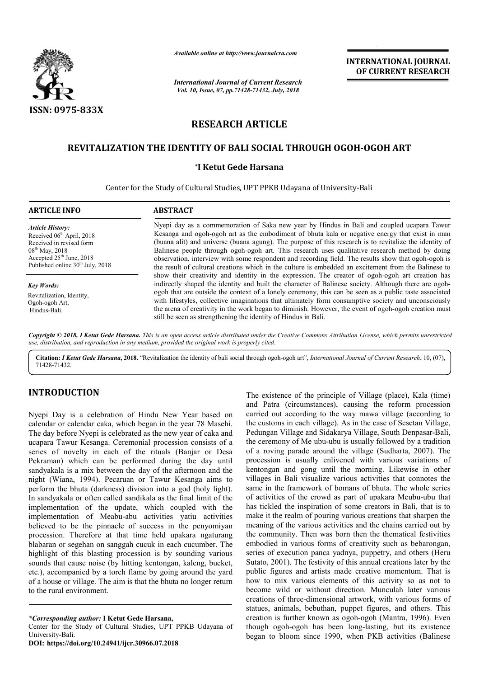

*Available online at http://www.journalcra.com*

*International Journal of Current Research Vol. 10, Issue, 07, pp.71428-71432, July, 2018*

**INTERNATIONAL JOURNAL OF CURRENT RESEARCH**

# **RESEARCH ARTICLE**

# **REVITALIZATION THE IDENTITY OF BALI SOCIAL THROUGH OGOH BALI SOCIAL OGOH-OGOH ART**

#### **\*I Ketut Gede Harsana**

Center for the Study of Cultural Studies, UPT PPKB Udayana of University Udayana of University-Bali

| <b>ARTICLE INFO</b>                                                                                                                                                                               | <b>ABSTRACT</b>                                                                                                                                                                                                                                                                                                                                                                                                                                                                                                                                                                                                                                                                                                                                                                                                                                                                                                                                                                                                                                                                                                                                                                                                             |
|---------------------------------------------------------------------------------------------------------------------------------------------------------------------------------------------------|-----------------------------------------------------------------------------------------------------------------------------------------------------------------------------------------------------------------------------------------------------------------------------------------------------------------------------------------------------------------------------------------------------------------------------------------------------------------------------------------------------------------------------------------------------------------------------------------------------------------------------------------------------------------------------------------------------------------------------------------------------------------------------------------------------------------------------------------------------------------------------------------------------------------------------------------------------------------------------------------------------------------------------------------------------------------------------------------------------------------------------------------------------------------------------------------------------------------------------|
| <b>Article History:</b><br>Received $06th$ April, 2018<br>Received in revised form<br>$08^{th}$ May, 2018<br>Accepted 25 <sup>th</sup> June, 2018<br>Published online 30 <sup>th</sup> July, 2018 | Nyepi day as a commemoration of Saka new year by Hindus in Bali and coupled ucapara Tawur<br>Kesanga and ogoh-ogoh art as the embodiment of bhuta kala or negative energy that exist in man<br>(buana alit) and universe (buana agung). The purpose of this research is to revitalize the identity of<br>Balinese people through ogoh-ogoh art. This research uses qualitative research method by doing<br>observation, interview with some respondent and recording field. The results show that ogoh-ogoh is<br>the result of cultural creations which in the culture is embedded an excitement from the Balinese to<br>show their creativity and identity in the expression. The creator of ogoh-ogoh art creation has<br>indirectly shaped the identity and built the character of Balinese society. Although there are ogoh-<br>ogoh that are outside the context of a lonely ceremony, this can be seen as a public taste associated<br>with lifestyles, collective imaginations that ultimately form consumptive society and unconsciously<br>the arena of creativity in the work began to diminish. However, the event of ogoh-ogoh creation must<br>still be seen as strengthening the identity of Hindus in Bali. |
| <b>Key Words:</b><br>Revitalization, Identity,<br>Ogoh-ogoh Art,<br>Hindus-Bali.                                                                                                                  |                                                                                                                                                                                                                                                                                                                                                                                                                                                                                                                                                                                                                                                                                                                                                                                                                                                                                                                                                                                                                                                                                                                                                                                                                             |

Copyright © 2018, I Ketut Gede Harsana. This is an open access article distributed under the Creative Commons Attribution License, which permits unrestrictea *use, distribution, and reproduction in any medium, provided the original work is properly cited.*

Citation: *I Ketut Gede Harsana*, 2018. "Revitalization the identity of bali social through ogoh-ogoh art", *International Journal of Current Research*, 10, (07), 71428-71432.

# **INTRODUCTION**

Nyepi Day is a celebration of Hindu New Year based on calendar or calendar caka, which began in the year 78 Masehi. The day before Nyepi is celebrated as the new year of caka and ucapara Tawur Kesanga. Ceremonial procession consists of a series of novelty in each of the rituals (Banjar or Desa Pekraman) which can be performed during the day until sandyakala is a mix between the day of the afternoon and the night (Wiana, 1994). Pecaruan or Tawur Kesanga aims to perform the bhuta (darkness) division into a god (holy light). In sandyakala or often called sandikala as the final limit of the implementation of the update, which coupled with the implementation of Meabu-abu activities yatiu activities believed to be the pinnacle of success in the penyomiyan procession. Therefore at that time held upakara ngaturang blabaran or segehan on sanggah cucuk in each cucumber. The highlight of this blasting procession is by sounding various sounds that cause noise (by hitting kentongan, kaleng, bucket, etc.), accompanied by a torch flame by going around the yard of a house or village. The aim is that the bhuta no longer return to the rural environment. ala is a mix between the day of the afternoon and the Wiana, 1994). Pecaruan or Tawur Kesanga aims to the bhuta (darkness) division into a god (holy light). <br> *rakala* or often called sandikala as the final limit of the en

*\*Corresponding author:* **I Ketut Gede Harsana,**

Center for the Study of Cultural Studies, UPT PPKB Udayana of University-Bali.

**DOI: https://doi.org/10.24941/ijcr.30966.07.2018**

The existence of the principle of Village (plac<br>
New Year based on carried out according to the way mawa village<br>
n the year 78 Masehi. the customs in each village). As in the case of S<br>
new year of cake and Peduagan Villa and Patra (circumstances), causing the reform procession carried out according to the way mawa village (according to the customs in each village). As in the case of Sesetan Village, and Patra (circumstances), causing the reform procession carried out according to the way mawa village (according to the customs in each village). As in the case of Sesetan Village, Pedungan Village and Sidakarya Village, the ceremony of Me ubu-ubu is usually followed by a tradition of a roving parade around the village (Sudharta, 2007). The procession is usually enlivened with various variations of kentongan and gong until the morning. Likewise in other villages in Bali visualize various activities that connotes the same in the framework of bomans of bhuta. The whole series of activities of the crowd as part of upakara Meubu-ubu that has tickled the inspiration of some creators in Bali, that is to make it the realm of pouring various creations that sharpen the meaning of the various activities and the chains carried out by the community. Then was born then the thematical festivities embodied in various forms of creativity such as bebarongan, has tickled the inspiration of some creators in Bali, that is to make it the realm of pouring various creations that sharpen the meaning of the various activities and the chains carried out by the community. Then was born Sutato, 2001). The festivity of this annual creations later by the public figures and artists made creative momentum. That is how to mix various elements of this activity so as not to become wild or without direction. Munculah later various creations of three-dimensional artwork, with various forms of statues, animals, bebuthan, puppet figures, and others. This creation is further known as ogoh-ogoh (Mantra, 1996). Even though ogoh-ogoh has been long-lasting, but its existence began to bloom since 1990, when PKB activities (Balinese The existence of the principle of Village (place), Kala (time) Me ubu-ubu is usually followed by a tradition<br>de around the village (Sudharta, 2007). The<br>sually enlivened with various variations of<br>gong until the morning. Likewise in other<br>visualize various activities that connotes the Sutato, 2001). The festivity of this annual creations later by the public figures and artists made creative momentum. That is how to mix various elements of this activity so as not to become wild or without direction. Munc f three-dimensional artwork, with various forms of imals, bebuthan, puppet figures, and others. This further known as ogoh-ogoh (Mantra, 1996). Even **INTERNATIONAL JOURNAL OF CURRENT RESEARCH**<br> **OF CURRENT RESEARCH**<br> **OF CURRENT RESEARCH**<br> **OF CURRENT RESEARCH**<br> **EXECUTE AND**<br> **EXECUTE AND**<br> **EXECUTE AND**<br> **EXECUTE AND**<br> **EXECUTE AND**<br> **EXECUTE AND**<br> **EXECUTE AND**<br> **EX**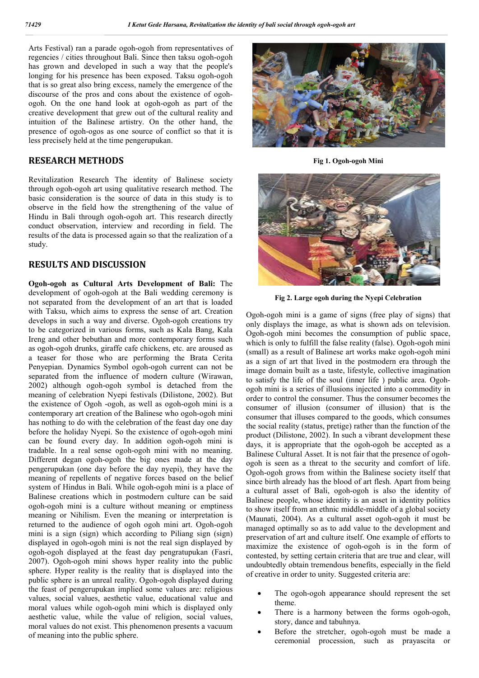Arts Festival) ran a parade ogoh-ogoh from representatives of regencies / cities throughout Bali. Since then taksu ogoh-ogoh has grown and developed in such a way that the people's longing for his presence has been exposed. Taksu ogoh-ogoh that is so great also bring excess, namely the emergence of the discourse of the pros and cons about the existence of ogohogoh. On the one hand look at ogoh-ogoh as part of the creative development that grew out of the cultural reality and intuition of the Balinese artistry. On the other hand, the presence of ogoh-ogos as one source of conflict so that it is less precisely held at the time pengerupukan.

## **RESEARCH METHODS**

Revitalization Research The identity of Balinese society through ogoh-ogoh art using qualitative research method. The basic consideration is the source of data in this study is to observe in the field how the strengthening of the value of Hindu in Bali through ogoh-ogoh art. This research directly conduct observation, interview and recording in field. The results of the data is processed again so that the realization of a study.

## **RESULTS AND DISCUSSION**

**Ogoh-ogoh as Cultural Arts Development of Bali:** The development of ogoh-ogoh at the Bali wedding ceremony is not separated from the development of an art that is loaded with Taksu, which aims to express the sense of art. Creation develops in such a way and diverse. Ogoh-ogoh creations try to be categorized in various forms, such as Kala Bang, Kala Ireng and other bebuthan and more contemporary forms such as ogoh-ogoh drunks, giraffe cafe chickens, etc. are aroused as a teaser for those who are performing the Brata Cerita Penyepian. Dynamics Symbol ogoh-ogoh current can not be separated from the influence of modern culture (Wirawan, 2002) although ogoh-ogoh symbol is detached from the meaning of celebration Nyepi festivals (Dilistone, 2002). But the existence of Ogoh -ogoh, as well as ogoh-ogoh mini is a contemporary art creation of the Balinese who ogoh-ogoh mini has nothing to do with the celebration of the feast day one day before the holiday Nyepi. So the existence of ogoh-ogoh mini can be found every day. In addition ogoh-ogoh mini is tradable. In a real sense ogoh-ogoh mini with no meaning. Different degan ogoh-ogoh the big ones made at the day pengerupukan (one day before the day nyepi), they have the meaning of repellents of negative forces based on the belief system of Hindus in Bali. While ogoh-ogoh mini is a place of Balinese creations which in postmodern culture can be said ogoh-ogoh mini is a culture without meaning or emptiness meaning or Nihilism. Even the meaning or interpretation is returned to the audience of ogoh ogoh mini art. Ogoh-ogoh mini is a sign (sign) which according to Piliang sign (sign) displayed in ogoh-ogoh mini is not the real sign displayed by ogoh-ogoh displayed at the feast day pengratupukan (Fasri, 2007). Ogoh-ogoh mini shows hyper reality into the public sphere. Hyper reality is the reality that is displayed into the public sphere is an unreal reality. Ogoh-ogoh displayed during the feast of pengerupukan implied some values are: religious values, social values, aesthetic value, educational value and moral values while ogoh-ogoh mini which is displayed only aesthetic value, while the value of religion, social values, moral values do not exist. This phenomenon presents a vacuum of meaning into the public sphere.



**Fig 1. Ogoh-ogoh Mini**



**Fig 2. Large ogoh during the Nyepi Celebration**

Ogoh-ogoh mini is a game of signs (free play of signs) that only displays the image, as what is shown ads on television. Ogoh-ogoh mini becomes the consumption of public space, which is only to fulfill the false reality (false). Ogoh-ogoh mini (small) as a result of Balinese art works make ogoh-ogoh mini as a sign of art that lived in the postmodern era through the image domain built as a taste, lifestyle, collective imagination to satisfy the life of the soul (inner life ) public area. Ogohogoh mini is a series of illusions injected into a commodity in order to control the consumer. Thus the consumer becomes the consumer of illusion (consumer of illusion) that is the consumer that illuses compared to the goods, which consumes the social reality (status, pretige) rather than the function of the product (Dilistone, 2002). In such a vibrant development these days, it is appropriate that the ogoh-ogoh be accepted as a Balinese Cultural Asset. It is not fair that the presence of ogohogoh is seen as a threat to the security and comfort of life. Ogoh-ogoh grows from within the Balinese society itself that since birth already has the blood of art flesh. Apart from being a cultural asset of Bali, ogoh-ogoh is also the identity of Balinese people, whose identity is an asset in identity politics to show itself from an ethnic middle-middle of a global society (Maunati, 2004). As a cultural asset ogoh-ogoh it must be managed optimally so as to add value to the development and preservation of art and culture itself. One example of efforts to maximize the existence of ogoh-ogoh is in the form of contested, by setting certain criteria that are true and clear, will undoubtedly obtain tremendous benefits, especially in the field of creative in order to unity. Suggested criteria are:

- The ogoh-ogoh appearance should represent the set theme.
- There is a harmony between the forms ogoh-ogoh, story, dance and tabuhnya.
- Before the stretcher, ogoh-ogoh must be made a ceremonial procession, such as prayascita or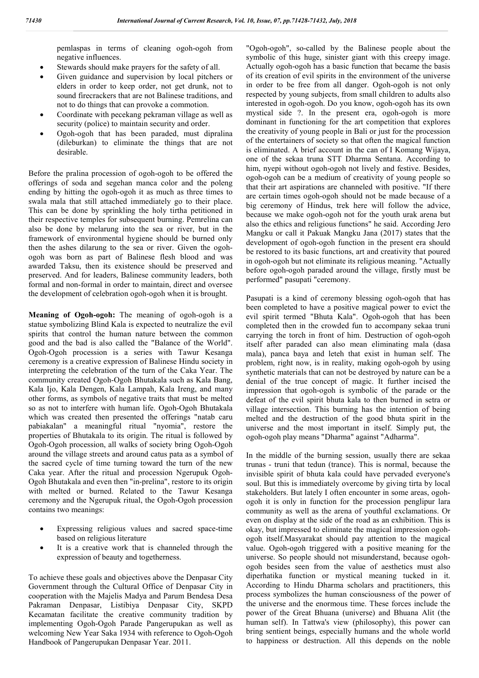pemlaspas in terms of cleaning ogoh-ogoh from negative influences.

- Stewards should make prayers for the safety of all.
- Given guidance and supervision by local pitchers or elders in order to keep order, not get drunk, not to sound firecrackers that are not Balinese traditions, and not to do things that can provoke a commotion.
- Coordinate with pecekang pekraman village as well as security (police) to maintain security and order.
- Ogoh-ogoh that has been paraded, must dipralina (dileburkan) to eliminate the things that are not desirable.

Before the pralina procession of ogoh-ogoh to be offered the offerings of soda and segehan manca color and the poleng ending by hitting the ogoh-ogoh it as much as three times to swala mala that still attached immediately go to their place. This can be done by sprinkling the holy tirtha petitioned in their respective temples for subsequent burning. Pemrelina can also be done by melarung into the sea or river, but in the framework of environmental hygiene should be burned only then the ashes dilarung to the sea or river. Given the ogohogoh was born as part of Balinese flesh blood and was awarded Taksu, then its existence should be preserved and preserved. And for leaders, Balinese community leaders, both formal and non-formal in order to maintain, direct and oversee the development of celebration ogoh-ogoh when it is brought.

**Meaning of Ogoh-ogoh:** The meaning of ogoh-ogoh is a statue symbolizing Blind Kala is expected to neutralize the evil spirits that control the human nature between the common good and the bad is also called the "Balance of the World". Ogoh-Ogoh procession is a series with Tawur Kesanga ceremony is a creative expression of Balinese Hindu society in interpreting the celebration of the turn of the Caka Year. The community created Ogoh-Ogoh Bhutakala such as Kala Bang, Kala Ijo, Kala Dengen, Kala Lampah, Kala Ireng, and many other forms, as symbols of negative traits that must be melted so as not to interfere with human life. Ogoh-Ogoh Bhutakala which was created then presented the offerings "natab caru pabiakalan" a meaningful ritual "nyomia", restore the properties of Bhutakala to its origin. The ritual is followed by Ogoh-Ogoh procession, all walks of society bring Ogoh-Ogoh around the village streets and around catus pata as a symbol of the sacred cycle of time turning toward the turn of the new Caka year. After the ritual and procession Ngerupuk Ogoh-Ogoh Bhutakala and even then "in-prelina", restore to its origin with melted or burned. Related to the Tawur Kesanga ceremony and the Ngerupuk ritual, the Ogoh-Ogoh procession contains two meanings:

- Expressing religious values and sacred space-time based on religious literature
- It is a creative work that is channeled through the expression of beauty and togetherness.

To achieve these goals and objectives above the Denpasar City Government through the Cultural Office of Denpasar City in cooperation with the Majelis Madya and Parum Bendesa Desa Pakraman Denpasar, Listibiya Denpasar City, SKPD Kecamatan facilitate the creative community tradition by implementing Ogoh-Ogoh Parade Pangerupukan as well as welcoming New Year Saka 1934 with reference to Ogoh-Ogoh Handbook of Pangerupukan Denpasar Year. 2011.

"Ogoh-ogoh", so-called by the Balinese people about the symbolic of this huge, sinister giant with this creepy image. Actually ogoh-ogoh has a basic function that became the basis of its creation of evil spirits in the environment of the universe in order to be free from all danger. Ogoh-ogoh is not only respected by young subjects, from small children to adults also interested in ogoh-ogoh. Do you know, ogoh-ogoh has its own mystical side ?. In the present era, ogoh-ogoh is more dominant in functioning for the art competition that explores the creativity of young people in Bali or just for the procession of the entertainers of society so that often the magical function is eliminated. A brief account in the can of I Komang Wijaya, one of the sekaa truna STT Dharma Sentana. According to him, nyepi without ogoh-ogoh not lively and festive. Besides, ogoh-ogoh can be a medium of creativity of young people so that their art aspirations are channeled with positive. "If there are certain times ogoh-ogoh should not be made because of a big ceremony of Hindus, trek here will follow the advice, because we make ogoh-ogoh not for the youth urak arena but also the ethics and religious functions" he said. According Jero Mangku or call it Pakuak Mangku Jana (2017) states that the development of ogoh-ogoh function in the present era should be restored to its basic functions, art and creativity that poured in ogoh-ogoh but not eliminate its religious meaning. "Actually before ogoh-ogoh paraded around the village, firstly must be performed" pasupati "ceremony.

Pasupati is a kind of ceremony blessing ogoh-ogoh that has been completed to have a positive magical power to evict the evil spirit termed "Bhuta Kala". Ogoh-ogoh that has been completed then in the crowded fun to accompany sekaa truni carrying the torch in front of him. Destruction of ogoh-ogoh itself after paraded can also mean eliminating mala (dasa mala), panca baya and leteh that exist in human self. The problem, right now, is in reality, making ogoh-ogoh by using synthetic materials that can not be destroyed by nature can be a denial of the true concept of magic. It further incised the impression that ogoh-ogoh is symbolic of the parade or the defeat of the evil spirit bhuta kala to then burned in setra or village intersection. This burning has the intention of being melted and the destruction of the good bhuta spirit in the universe and the most important in itself. Simply put, the ogoh-ogoh play means "Dharma" against "Adharma".

In the middle of the burning session, usually there are sekaa trunas - truni that tedun (trance). This is normal, because the invisible spirit of bhuta kala could have pervaded everyone's soul. But this is immediately overcome by giving tirta by local stakeholders. But lately I often encounter in some areas, ogohogoh it is only in function for the procession penglipur lara community as well as the arena of youthful exclamations. Or even on display at the side of the road as an exhibition. This is okay, but impressed to eliminate the magical impression ogohogoh itself.Masyarakat should pay attention to the magical value. Ogoh-ogoh triggered with a positive meaning for the universe. So people should not misunderstand, because ogohogoh besides seen from the value of aesthetics must also diperhatika function or mystical meaning tucked in it. According to Hindu Dharma scholars and practitioners, this process symbolizes the human consciousness of the power of the universe and the enormous time. These forces include the power of the Great Bhuana (universe) and Bhuana Alit (the human self). In Tattwa's view (philosophy), this power can bring sentient beings, especially humans and the whole world to happiness or destruction. All this depends on the noble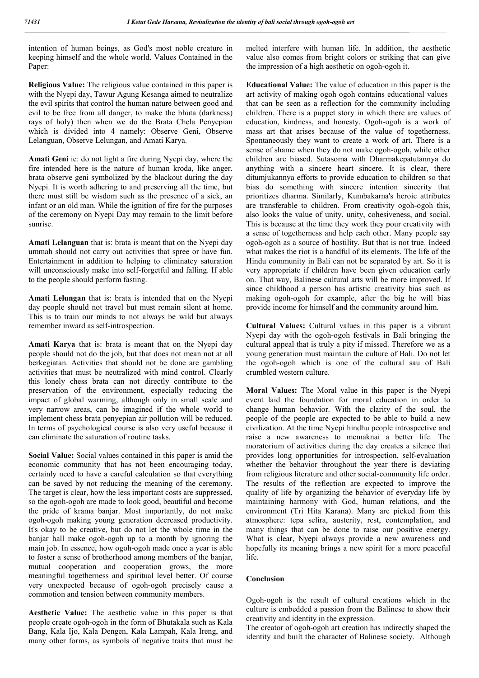intention of human beings, as God's most noble creature in keeping himself and the whole world. Values Contained in the Paper:

**Religious Value:** The religious value contained in this paper is with the Nyepi day, Tawur Agung Kesanga aimed to neutralize the evil spirits that control the human nature between good and evil to be free from all danger, to make the bhuta (darkness) rays of holy) then when we do the Brata Chela Penyepian which is divided into 4 namely: Observe Geni, Observe Lelanguan, Observe Lelungan, and Amati Karya.

**Amati Geni** ie: do not light a fire during Nyepi day, where the fire intended here is the nature of human kroda, like anger. brata observe geni symbolized by the blackout during the day Nyepi. It is worth adhering to and preserving all the time, but there must still be wisdom such as the presence of a sick, an infant or an old man. While the ignition of fire for the purposes of the ceremony on Nyepi Day may remain to the limit before sunrise.

**Amati Lelanguan** that is: brata is meant that on the Nyepi day ummah should not carry out activities that spree or have fun. Entertainment in addition to helping to eliminatey saturation will unconsciously make into self-forgetful and falling. If able to the people should perform fasting.

**Amati Lelungan** that is: brata is intended that on the Nyepi day people should not travel but must remain silent at home. This is to train our minds to not always be wild but always remember inward as self-introspection.

**Amati Karya** that is: brata is meant that on the Nyepi day people should not do the job, but that does not mean not at all berkegiatan. Activities that should not be done are gambling activities that must be neutralized with mind control. Clearly this lonely chess brata can not directly contribute to the preservation of the environment, especially reducing the impact of global warming, although only in small scale and very narrow areas, can be imagined if the whole world to implement chess brata penyepian air pollution will be reduced. In terms of psychological course is also very useful because it can eliminate the saturation of routine tasks.

**Social Value:** Social values contained in this paper is amid the economic community that has not been encouraging today, certainly need to have a careful calculation so that everything can be saved by not reducing the meaning of the ceremony. The target is clear, how the less important costs are suppressed, so the ogoh-ogoh are made to look good, beautiful and become the pride of krama banjar. Most importantly, do not make ogoh-ogoh making young generation decreased productivity. It's okay to be creative, but do not let the whole time in the banjar hall make ogoh-ogoh up to a month by ignoring the main job. In essence, how ogoh-ogoh made once a year is able to foster a sense of brotherhood among members of the banjar, mutual cooperation and cooperation grows, the more meaningful togetherness and spiritual level better. Of course very unexpected because of ogoh-ogoh precisely cause a commotion and tension between community members.

**Aesthetic Value:** The aesthetic value in this paper is that people create ogoh-ogoh in the form of Bhutakala such as Kala Bang, Kala Ijo, Kala Dengen, Kala Lampah, Kala Ireng, and many other forms, as symbols of negative traits that must be

melted interfere with human life. In addition, the aesthetic value also comes from bright colors or striking that can give the impression of a high aesthetic on ogoh-ogoh it.

**Educational Value:** The value of education in this paper is the art activity of making ogoh ogoh contains educational values that can be seen as a reflection for the community including children. There is a puppet story in which there are values of education, kindness, and honesty. Ogoh-ogoh is a work of mass art that arises because of the value of togetherness. Spontaneously they want to create a work of art. There is a sense of shame when they do not make ogoh-ogoh, while other children are biased. Sutasoma with Dharmakepatutannya do anything with a sincere heart sincere. It is clear, there ditumjukannya efforts to provide education to children so that bias do something with sincere intention sincerity that prioritizes dharma. Similarly, Kumbakarna's heroic attributes are transferable to children. From creativity ogoh-ogoh this, also looks the value of unity, unity, cohesiveness, and social. This is because at the time they work they pour creativity with a sense of togetherness and help each other. Many people say ogoh-ogoh as a source of hostility. But that is not true. Indeed what makes the riot is a handful of its elements. The life of the Hindu community in Bali can not be separated by art. So it is very appropriate if children have been given education early on. That way, Balinese cultural arts will be more improved. If since childhood a person has artistic creativity bias such as making ogoh-ogoh for example, after the big he will bias provide income for himself and the community around him.

**Cultural Values:** Cultural values in this paper is a vibrant Nyepi day with the ogoh-ogoh festivals in Bali bringing the cultural appeal that is truly a pity if missed. Therefore we as a young generation must maintain the culture of Bali. Do not let the ogoh-ogoh which is one of the cultural sau of Bali crumbled western culture.

**Moral Values:** The Moral value in this paper is the Nyepi event laid the foundation for moral education in order to change human behavior. With the clarity of the soul, the people of the people are expected to be able to build a new civilization. At the time Nyepi hindhu people introspective and raise a new awareness to memaknai a better life. The moratorium of activities during the day creates a silence that provides long opportunities for introspection, self-evaluation whether the behavior throughout the year there is deviating from religious literature and other social-community life order. The results of the reflection are expected to improve the quality of life by organizing the behavior of everyday life by maintaining harmony with God, human relations, and the environment (Tri Hita Karana). Many are picked from this atmosphere: tepa selira, austerity, rest, contemplation, and many things that can be done to raise our positive energy. What is clear, Nyepi always provide a new awareness and hopefully its meaning brings a new spirit for a more peaceful life.

### **Conclusion**

Ogoh-ogoh is the result of cultural creations which in the culture is embedded a passion from the Balinese to show their creativity and identity in the expression.

The creator of ogoh-ogoh art creation has indirectly shaped the identity and built the character of Balinese society. Although